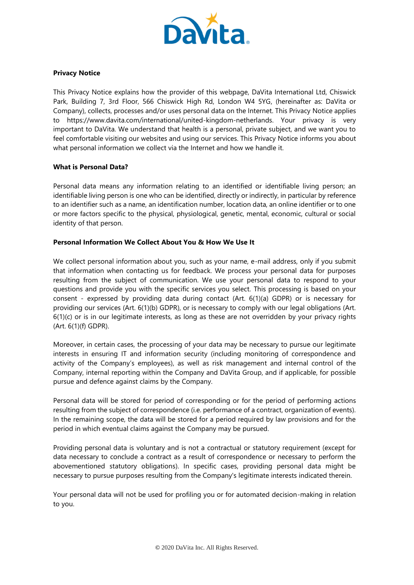

# **Privacy Notice**

This Privacy Notice explains how the provider of this webpage, DaVita International Ltd, Chiswick Park, Building 7, 3rd Floor, 566 Chiswick High Rd, London W4 5YG, (hereinafter as: DaVita or Company), collects, processes and/or uses personal data on the Internet. This Privacy Notice applies to https://www.davita.com/international/united-kingdom-netherlands. Your privacy is very important to DaVita. We understand that health is a personal, private subject, and we want you to feel comfortable visiting our websites and using our services. This Privacy Notice informs you about what personal information we collect via the Internet and how we handle it.

#### **What is Personal Data?**

Personal data means any information relating to an identified or identifiable living person; an identifiable living person is one who can be identified, directly or indirectly, in particular by reference to an identifier such as a name, an identification number, location data, an online identifier or to one or more factors specific to the physical, physiological, genetic, mental, economic, cultural or social identity of that person.

### **Personal Information We Collect About You & How We Use It**

We collect personal information about you, such as your name, e-mail address, only if you submit that information when contacting us for feedback. We process your personal data for purposes resulting from the subject of communication. We use your personal data to respond to your questions and provide you with the specific services you select. This processing is based on your consent - expressed by providing data during contact (Art. 6(1)(a) GDPR) or is necessary for providing our services (Art. 6(1)(b) GDPR), or is necessary to comply with our legal obligations (Art. 6(1)(c) or is in our legitimate interests, as long as these are not overridden by your privacy rights (Art. 6(1)(f) GDPR).

Moreover, in certain cases, the processing of your data may be necessary to pursue our legitimate interests in ensuring IT and information security (including monitoring of correspondence and activity of the Company's employees), as well as risk management and internal control of the Company, internal reporting within the Company and DaVita Group, and if applicable, for possible pursue and defence against claims by the Company.

Personal data will be stored for period of corresponding or for the period of performing actions resulting from the subject of correspondence (i.e. performance of a contract, organization of events). In the remaining scope, the data will be stored for a period required by law provisions and for the period in which eventual claims against the Company may be pursued.

Providing personal data is voluntary and is not a contractual or statutory requirement (except for data necessary to conclude a contract as a result of correspondence or necessary to perform the abovementioned statutory obligations). In specific cases, providing personal data might be necessary to pursue purposes resulting from the Company's legitimate interests indicated therein.

Your personal data will not be used for profiling you or for automated decision-making in relation to you.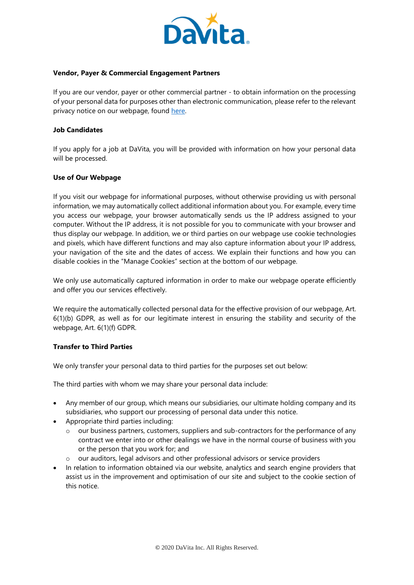

#### **Vendor, Payer & Commercial Engagement Partners**

If you are our vendor, payer or other commercial partner - to obtain information on the processing of your personal data for purposes other than electronic communication, please refer to the relevant privacy notice on our webpage, found [here.](https://www.davita.com/-/media/davita/project/corporate/international/pdf/davita-international-vendor-payer-and-commercial-engagement-privacy-notice.ashx?la=en-us&hash=A5CFDBB339C7187E994624CDFC172A23D86C156F)

### **Job Candidates**

If you apply for a job at DaVita, you will be provided with information on how your personal data will be processed.

#### **Use of Our Webpage**

If you visit our webpage for informational purposes, without otherwise providing us with personal information, we may automatically collect additional information about you. For example, every time you access our webpage, your browser automatically sends us the IP address assigned to your computer. Without the IP address, it is not possible for you to communicate with your browser and thus display our webpage. In addition, we or third parties on our webpage use cookie technologies and pixels, which have different functions and may also capture information about your IP address, your navigation of the site and the dates of access. We explain their functions and how you can disable cookies in the "Manage Cookies" section at the bottom of our webpage.

We only use automatically captured information in order to make our webpage operate efficiently and offer you our services effectively.

We require the automatically collected personal data for the effective provision of our webpage, Art. 6(1)(b) GDPR, as well as for our legitimate interest in ensuring the stability and security of the webpage, Art. 6(1)(f) GDPR.

# **Transfer to Third Parties**

We only transfer your personal data to third parties for the purposes set out below:

The third parties with whom we may share your personal data include:

- Any member of our group, which means our subsidiaries, our ultimate holding company and its subsidiaries, who support our processing of personal data under this notice.
- Appropriate third parties including:
	- our business partners, customers, suppliers and sub-contractors for the performance of any contract we enter into or other dealings we have in the normal course of business with you or the person that you work for; and
	- o our auditors, legal advisors and other professional advisors or service providers
- In relation to information obtained via our website, analytics and search engine providers that assist us in the improvement and optimisation of our site and subject to the cookie section of this notice.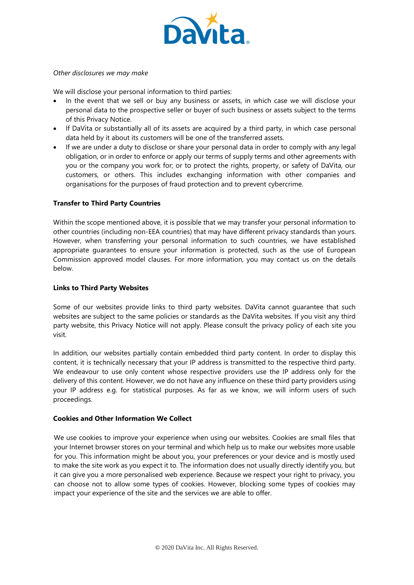

#### *Other disclosures we may make*

We will disclose your personal information to third parties:

- In the event that we sell or buy any business or assets, in which case we will disclose your personal data to the prospective seller or buyer of such business or assets subject to the terms of this Privacy Notice.
- If DaVita or substantially all of its assets are acquired by a third party, in which case personal data held by it about its customers will be one of the transferred assets.
- If we are under a duty to disclose or share your personal data in order to comply with any legal obligation, or in order to enforce or apply our terms of supply terms and other agreements with you or the company you work for; or to protect the rights, property, or safety of DaVita, our customers, or others. This includes exchanging information with other companies and organisations for the purposes of fraud protection and to prevent cybercrime.

# **Transfer to Third Party Countries**

Within the scope mentioned above, it is possible that we may transfer your personal information to other countries (including non-EEA countries) that may have different privacy standards than yours. However, when transferring your personal information to such countries, we have established appropriate guarantees to ensure your information is protected, such as the use of European Commission approved model clauses. For more information, you may contact us on the details below.

# **Links to Third Party Websites**

Some of our websites provide links to third party websites. DaVita cannot guarantee that such websites are subject to the same policies or standards as the DaVita websites. If you visit any third party website, this Privacy Notice will not apply. Please consult the privacy policy of each site you visit.

In addition, our websites partially contain embedded third party content. In order to display this content, it is technically necessary that your IP address is transmitted to the respective third party. We endeavour to use only content whose respective providers use the IP address only for the delivery of this content. However, we do not have any influence on these third party providers using your IP address e.g. for statistical purposes. As far as we know, we will inform users of such proceedings.

#### **Cookies and Other Information We Collect**

We use cookies to improve your experience when using our websites. Cookies are small files that your Internet browser stores on your terminal and which help us to make our websites more usable for you. This information might be about you, your preferences or your device and is mostly used to make the site work as you expect it to. The information does not usually directly identify you, but it can give you a more personalised web experience. Because we respect your right to privacy, you can choose not to allow some types of cookies. However, blocking some types of cookies may impact your experience of the site and the services we are able to offer.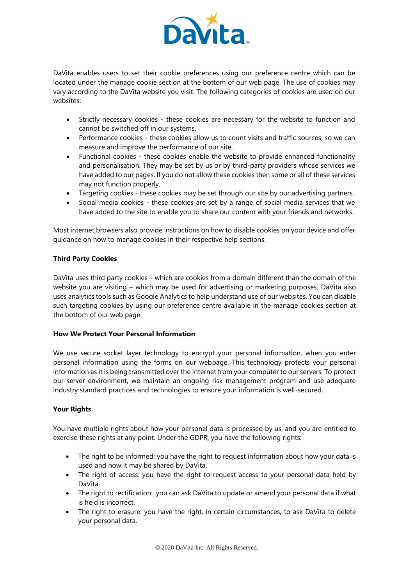

DaVita enables users to set their cookie preferences using our preference centre which can be located under the manage cookie section at the bottom of our web page. The use of cookies may vary according to the DaVita website you visit. The following categories of cookies are used on our websites:

- Strictly necessary cookies these cookies are necessary for the website to function and cannot be switched off in our systems.
- Performance cookies these cookies allow us to count visits and traffic sources, so we can measure and improve the performance of our site.
- Functional cookies these cookies enable the website to provide enhanced functionality and personalisation. They may be set by us or by third-party providers whose services we have added to our pages. If you do not allow these cookies then some or all of these services may not function properly.
- Targeting cookies these cookies may be set through our site by our advertising partners.
- Social media cookies these cookies are set by a range of social media services that we have added to the site to enable you to share our content with your friends and networks.

Most internet browsers also provide instructions on how to disable cookies on your device and offer guidance on how to manage cookies in their respective help sections.

# **Third Party Cookies**

DaVita uses third party cookies – which are cookies from a domain different than the domain of the website you are visiting – which may be used for advertising or marketing purposes. DaVita also uses analytics tools such as Google Analytics to help understand use of our websites. You can disable such targeting cookies by using our preference centre available in the manage cookies section at the bottom of our web page.

# **How We Protect Your Personal Information**

We use secure socket layer technology to encrypt your personal information, when you enter personal information using the forms on our webpage. This technology protects your personal information as it is being transmitted over the Internet from your computer to our servers. To protect our server environment, we maintain an ongoing risk management program and use adequate industry standard practices and technologies to ensure your information is well-secured.

# **Your Rights**

You have multiple rights about how your personal data is processed by us, and you are entitled to exercise these rights at any point. Under the GDPR, you have the following rights:

- The right to be informed: you have the right to request information about how your data is used and how it may be shared by DaVita.
- The right of access: you have the right to request access to your personal data held by DaVita.
- The right to rectification: you can ask DaVita to update or amend your personal data if what is held is incorrect.
- The right to erasure: you have the right, in certain circumstances, to ask DaVita to delete your personal data.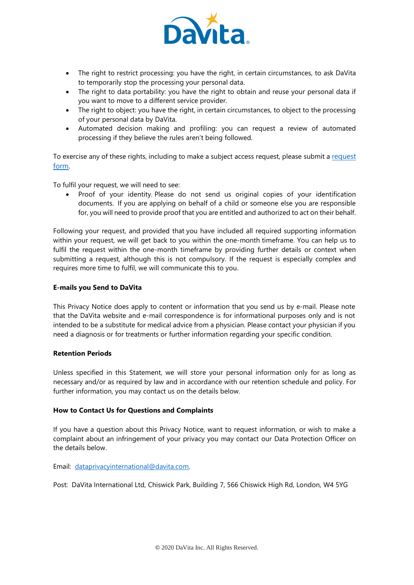

- The right to restrict processing: you have the right, in certain circumstances, to ask DaVita to temporarily stop the processing your personal data.
- The right to data portability: you have the right to obtain and reuse your personal data if you want to move to a different service provider.
- The right to object: you have the right, in certain circumstances, to object to the processing of your personal data by DaVita.
- Automated decision making and profiling: you can request a review of automated processing if they believe the rules aren't being followed.

To exercise any of these rights, including to make a subject access request, please submit a r[equest](https://privacyportal.onetrust.com/webform/ebe552a0-4eb6-4b0a-a838-58afae395615/3eba4fb2-5443-4fe1-8d13-e53bd40e56dc)  [form](https://privacyportal.onetrust.com/webform/ebe552a0-4eb6-4b0a-a838-58afae395615/3eba4fb2-5443-4fe1-8d13-e53bd40e56dc).

To fulfil your request, we will need to see:

 Proof of your identity. Please do not send us original copies of your identification documents. If you are applying on behalf of a child or someone else you are responsible for, you will need to provide proof that you are entitled and authorized to act on their behalf.

Following your request, and provided that you have included all required supporting information within your request, we will get back to you within the one-month timeframe. You can help us to fulfil the request within the one-month timeframe by providing further details or context when submitting a request, although this is not compulsory. If the request is especially complex and requires more time to fulfil, we will communicate this to you.

# **E-mails you Send to DaVita**

This Privacy Notice does apply to content or information that you send us by e-mail. Please note that the DaVita website and e-mail correspondence is for informational purposes only and is not intended to be a substitute for medical advice from a physician. Please contact your physician if you need a diagnosis or for treatments or further information regarding your specific condition.

# **Retention Periods**

Unless specified in this Statement, we will store your personal information only for as long as necessary and/or as required by law and in accordance with our retention schedule and policy. For further information, you may contact us on the details below.

# **How to Contact Us for Questions and Complaints**

If you have a question about this Privacy Notice, want to request information, or wish to make a complaint about an infringement of your privacy you may contact our Data Protection Officer on the details below.

Email: [dataprivacyinternational@davita.com.](mailto:dataprivacyinternational@davita.com)

Post: DaVita International Ltd, Chiswick Park, Building 7, 566 Chiswick High Rd, London, W4 5YG